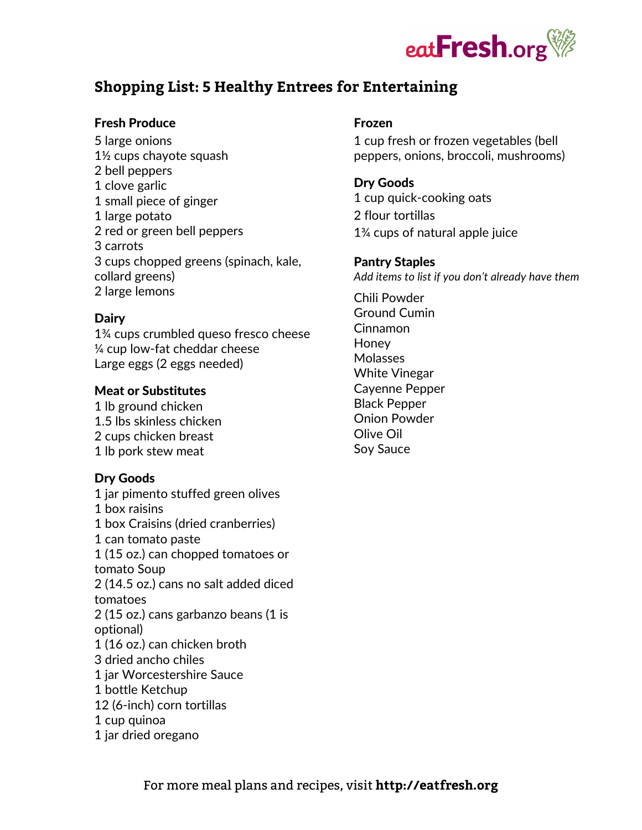

# **Shopping List: 5 Healthy Entrees for Entertaining**

#### Fresh Produce

5 large onions 1½ cups chayote squash 2 bell peppers 1 clove garlic 1 small piece of ginger 1 large potato 2 red or green bell peppers 3 carrots 3 cups chopped greens (spinach, kale, collard greens) 2 large lemons

#### **Dairy**

1¾ cups crumbled queso fresco cheese ¼ cup low-fat cheddar cheese Large eggs (2 eggs needed)

#### Meat or Substitutes

1 lb ground chicken 1.5 lbs skinless chicken 2 cups chicken breast 1 lb pork stew meat

#### Dry Goods

1 jar pimento stuffed green olives 1 box raisins 1 box Craisins (dried cranberries) 1 can tomato paste 1 (15 oz.) can chopped tomatoes or tomato Soup 2 (14.5 oz.) cans no salt added diced tomatoes 2 (15 oz.) cans garbanzo beans (1 is optional) 1 (16 oz.) can chicken broth 3 dried ancho chiles 1 jar Worcestershire Sauce 1 bottle Ketchup 12 (6-inch) corn tortillas 1 cup quinoa 1 jar dried oregano

#### Frozen

1 cup fresh or frozen vegetables (bell peppers, onions, broccoli, mushrooms)

#### Dry Goods

1 cup quick-cooking oats 2 flour tortillas 1¾ cups of natural apple juice

#### Pantry Staples

*Add items to list if you don't already have them*

Chili Powder Ground Cumin Cinnamon **Honey** Molasses White Vinegar Cayenne Pepper Black Pepper Onion Powder Olive Oil Soy Sauce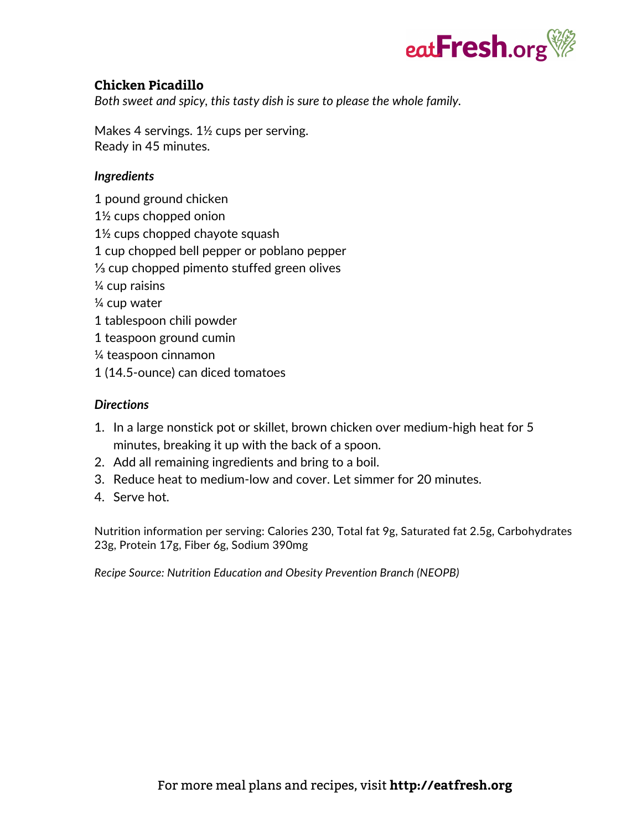

# **Chicken Picadillo**

*Both sweet and spicy, this tasty dish is sure to please the whole family.*

Makes 4 servings. 1½ cups per serving. Ready in 45 minutes.

### *Ingredients*

- 1 pound ground chicken
- 1½ cups chopped onion
- 1½ cups chopped chayote squash
- 1 cup chopped bell pepper or poblano pepper
- ⅓ cup chopped pimento stuffed green olives
- ¼ cup raisins
- ¼ cup water
- 1 tablespoon chili powder
- 1 teaspoon ground cumin
- ¼ teaspoon cinnamon
- 1 (14.5-ounce) can diced tomatoes

## *Directions*

- 1. In a large nonstick pot or skillet, brown chicken over medium-high heat for 5 minutes, breaking it up with the back of a spoon.
- 2. Add all remaining ingredients and bring to a boil.
- 3. Reduce heat to medium-low and cover. Let simmer for 20 minutes.
- 4. Serve hot.

Nutrition information per serving: Calories 230, Total fat 9g, Saturated fat 2.5g, Carbohydrates 23g, Protein 17g, Fiber 6g, Sodium 390mg

*Recipe Source: Nutrition Education and Obesity Prevention Branch (NEOPB)*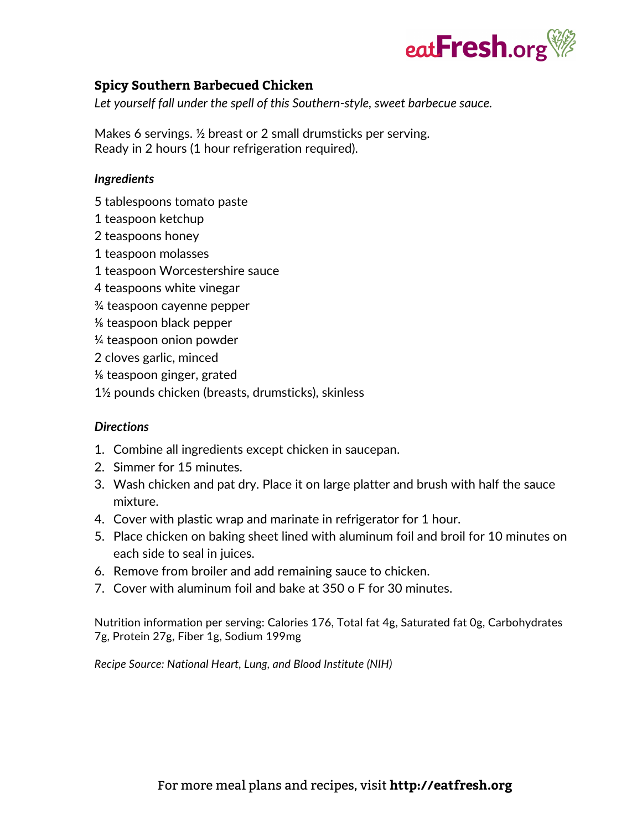

# **Spicy Southern Barbecued Chicken**

*Let yourself fall under the spell of this Southern-style, sweet barbecue sauce.*

Makes 6 servings. ½ breast or 2 small drumsticks per serving. Ready in 2 hours (1 hour refrigeration required).

#### *Ingredients*

- 5 tablespoons tomato paste
- 1 teaspoon ketchup
- 2 teaspoons honey
- 1 teaspoon molasses
- 1 teaspoon Worcestershire sauce
- 4 teaspoons white vinegar
- ¾ teaspoon cayenne pepper
- ⅛ teaspoon black pepper
- ¼ teaspoon onion powder
- 2 cloves garlic, minced
- ⅛ teaspoon ginger, grated
- 1½ pounds chicken (breasts, drumsticks), skinless

#### *Directions*

- 1. Combine all ingredients except chicken in saucepan.
- 2. Simmer for 15 minutes.
- 3. Wash chicken and pat dry. Place it on large platter and brush with half the sauce mixture.
- 4. Cover with plastic wrap and marinate in refrigerator for 1 hour.
- 5. Place chicken on baking sheet lined with aluminum foil and broil for 10 minutes on each side to seal in juices.
- 6. Remove from broiler and add remaining sauce to chicken.
- 7. Cover with aluminum foil and bake at 350 o F for 30 minutes.

Nutrition information per serving: Calories 176, Total fat 4g, Saturated fat 0g, Carbohydrates 7g, Protein 27g, Fiber 1g, Sodium 199mg

*Recipe Source: National Heart, Lung, and Blood Institute (NIH)*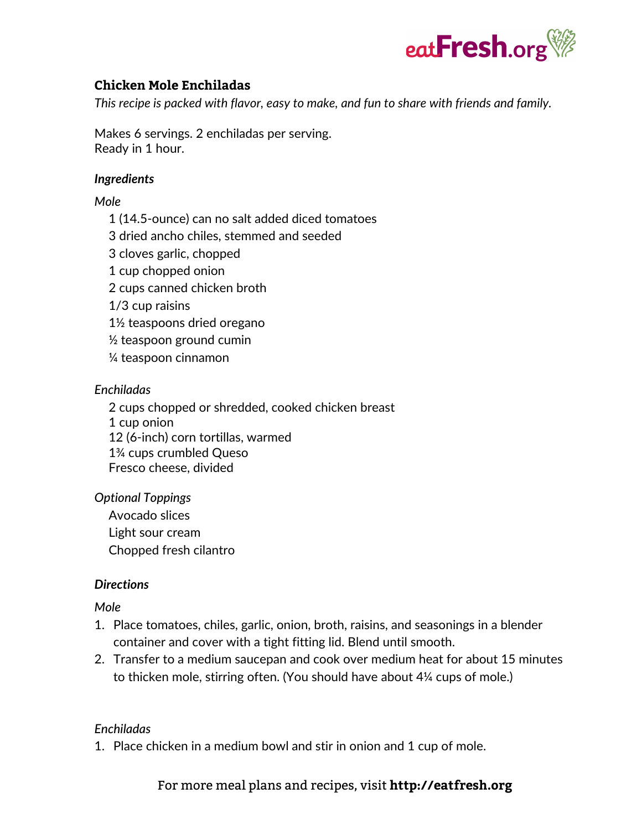

# **Chicken Mole Enchiladas**

*This recipe is packed with flavor, easy to make, and fun to share with friends and family.*

Makes 6 servings. 2 enchiladas per serving. Ready in 1 hour.

### *Ingredients*

### *Mole*

1 (14.5-ounce) can no salt added diced tomatoes 3 dried ancho chiles, stemmed and seeded 3 cloves garlic, chopped 1 cup chopped onion 2 cups canned chicken broth 1/3 cup raisins 1½ teaspoons dried oregano  $\frac{1}{2}$  teaspoon ground cumin

¼ teaspoon cinnamon

### *Enchiladas*

2 cups chopped or shredded, cooked chicken breast 1 cup onion 12 (6-inch) corn tortillas, warmed 1¾ cups crumbled Queso Fresco cheese, divided

### *Optional Toppings*

Avocado slices Light sour cream Chopped fresh cilantro

#### *Directions*

#### *Mole*

- 1. Place tomatoes, chiles, garlic, onion, broth, raisins, and seasonings in a blender container and cover with a tight fitting lid. Blend until smooth.
- 2. Transfer to a medium saucepan and cook over medium heat for about 15 minutes to thicken mole, stirring often. (You should have about 4¼ cups of mole.)

### *Enchiladas*

1. Place chicken in a medium bowl and stir in onion and 1 cup of mole.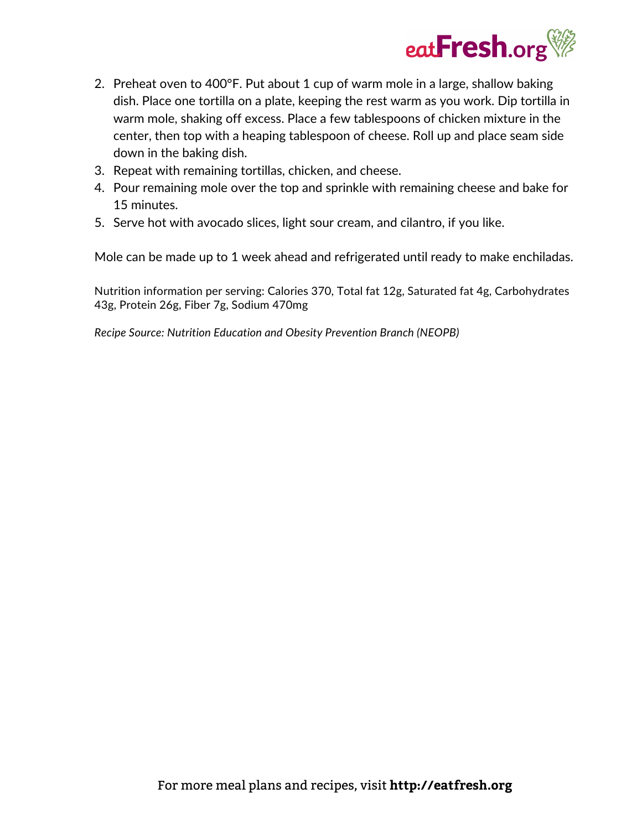

- 2. Preheat oven to 400°F. Put about 1 cup of warm mole in a large, shallow baking dish. Place one tortilla on a plate, keeping the rest warm as you work. Dip tortilla in warm mole, shaking off excess. Place a few tablespoons of chicken mixture in the center, then top with a heaping tablespoon of cheese. Roll up and place seam side down in the baking dish.
- 3. Repeat with remaining tortillas, chicken, and cheese.
- 4. Pour remaining mole over the top and sprinkle with remaining cheese and bake for 15 minutes.
- 5. Serve hot with avocado slices, light sour cream, and cilantro, if you like.

Mole can be made up to 1 week ahead and refrigerated until ready to make enchiladas.

Nutrition information per serving: Calories 370, Total fat 12g, Saturated fat 4g, Carbohydrates 43g, Protein 26g, Fiber 7g, Sodium 470mg

*Recipe Source: Nutrition Education and Obesity Prevention Branch (NEOPB)*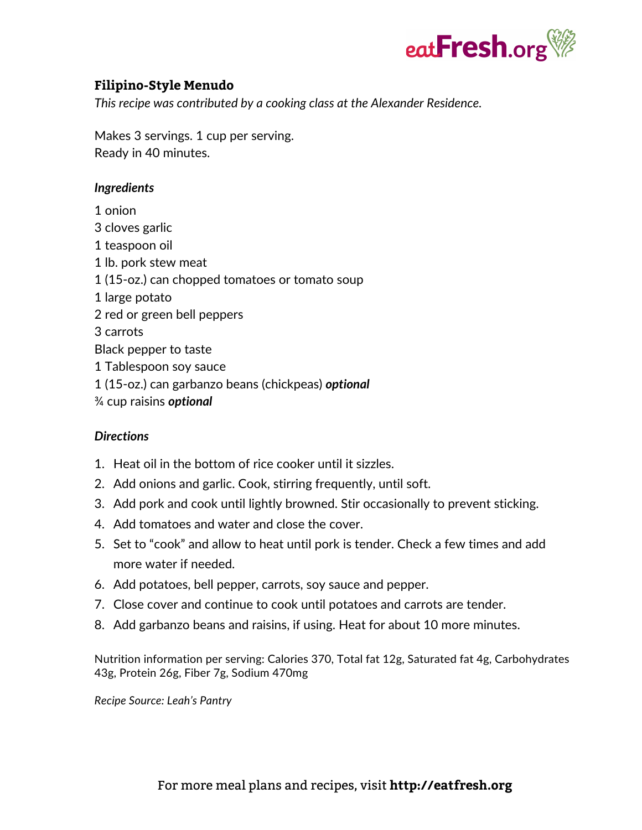

# **Filipino-Style Menudo**

*This recipe was contributed by a cooking class at the Alexander Residence.*

Makes 3 servings. 1 cup per serving. Ready in 40 minutes.

#### *Ingredients*

1 onion 3 cloves garlic 1 teaspoon oil 1 lb. pork stew meat 1 (15-oz.) can chopped tomatoes or tomato soup 1 large potato 2 red or green bell peppers 3 carrots Black pepper to taste 1 Tablespoon soy sauce 1 (15-oz.) can garbanzo beans (chickpeas) *optional* ¾ cup raisins *optional*

#### *Directions*

- 1. Heat oil in the bottom of rice cooker until it sizzles.
- 2. Add onions and garlic. Cook, stirring frequently, until soft.
- 3. Add pork and cook until lightly browned. Stir occasionally to prevent sticking.
- 4. Add tomatoes and water and close the cover.
- 5. Set to "cook" and allow to heat until pork is tender. Check a few times and add more water if needed.
- 6. Add potatoes, bell pepper, carrots, soy sauce and pepper.
- 7. Close cover and continue to cook until potatoes and carrots are tender.
- 8. Add garbanzo beans and raisins, if using. Heat for about 10 more minutes.

Nutrition information per serving: Calories 370, Total fat 12g, Saturated fat 4g, Carbohydrates 43g, Protein 26g, Fiber 7g, Sodium 470mg

*Recipe Source: Leah's Pantry*